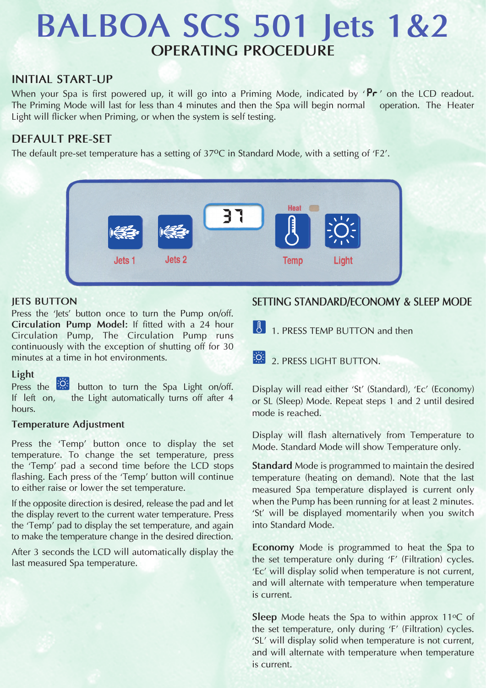# **BALBOA SCS 501 Jets 1&2 OPERATING PROCEDURE**

## **INITIAL START-UP**

When your Spa is first powered up, it will go into a Priming Mode, indicated by  $\mathbf{Pr}'$  on the LCD readout. The Priming Mode will last for less than 4 minutes and then the Spa will begin normal operation. The Heater Light will flicker when Priming, or when the system is self testing.

# **DEFAULT PRE-SET**

The default pre-set temperature has a setting of 37°C in Standard Mode, with a setting of 'F2'.



#### **JETS BUTTON**

Press the 'Jets' button once to turn the Pump on/off. **Circulation Pump Model:** If fitted with a 24 hour Circulation Pump, The Circulation Pump runs continuously with the exception of shutting off for 30 minutes at a time in hot environments.

#### **Light**

Press the **button** to turn the Spa Light on/off. If left on, the Light automatically turns off after 4 hours.

#### **Temperature Adjustment**

Press the 'Temp' button once to display the set temperature. To change the set temperature, press the 'Temp' pad a second time before the LCD stops flashing. Each press of the 'Temp' button will continue to either raise or lower the set temperature.

If the opposite direction is desired, release the pad and let the display revert to the current water temperature. Press the 'Temp' pad to display the set temperature, and again to make the temperature change in the desired direction.

After 3 seconds the LCD will automatically display the last measured Spa temperature.

## **SETTING STANDARD/ECONOMY & SLEEP MODE**

1. PRESS TEMP BUTTON and then

2. PRESS LIGHT BUTTON.

Display will read either 'St' (Standard), 'Ec' (Economy) or SL (Sleep) Mode. Repeat steps 1 and 2 until desired mode is reached.

Display will flash alternatively from Temperature to Mode. Standard Mode will show Temperature only.

**Standard** Mode is programmed to maintain the desired temperature (heating on demand). Note that the last measured Spa temperature displayed is current only when the Pump has been running for at least 2 minutes. 'St' will be displayed momentarily when you switch into Standard Mode.

**Economy** Mode is programmed to heat the Spa to the set temperature only during 'F' (Filtration) cycles. 'Ec' will display solid when temperature is not current, and will alternate with temperature when temperature is current.

**Sleep** Mode heats the Spa to within approx 11°C of the set temperature, only during 'F' (Filtration) cycles. 'SL' will display solid when temperature is not current, and will alternate with temperature when temperature is current.